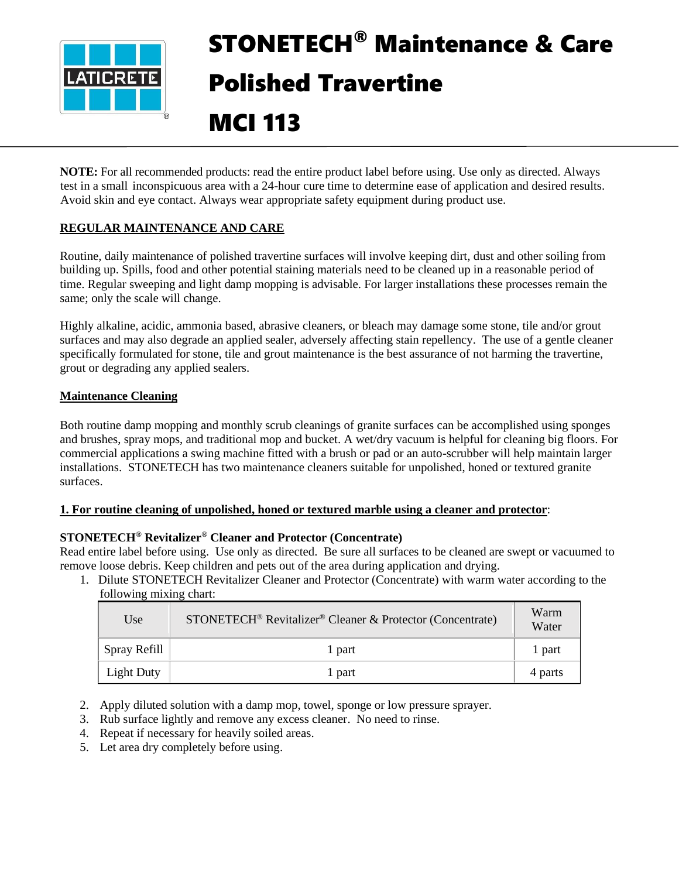

# STONETECH® Maintenance & Care Polished Travertine

# MCI 113

**NOTE:** For all recommended products: read the entire product label before using. Use only as directed. Always test in a small inconspicuous area with a 24-hour cure time to determine ease of application and desired results. Avoid skin and eye contact. Always wear appropriate safety equipment during product use.

# **REGULAR MAINTENANCE AND CARE**

Routine, daily maintenance of polished travertine surfaces will involve keeping dirt, dust and other soiling from building up. Spills, food and other potential staining materials need to be cleaned up in a reasonable period of time. Regular sweeping and light damp mopping is advisable. For larger installations these processes remain the same; only the scale will change.

Highly alkaline, acidic, ammonia based, abrasive cleaners, or bleach may damage some stone, tile and/or grout surfaces and may also degrade an applied sealer, adversely affecting stain repellency. The use of a gentle cleaner specifically formulated for stone, tile and grout maintenance is the best assurance of not harming the travertine, grout or degrading any applied sealers.

# **Maintenance Cleaning**

Both routine damp mopping and monthly scrub cleanings of granite surfaces can be accomplished using sponges and brushes, spray mops, and traditional mop and bucket. A wet/dry vacuum is helpful for cleaning big floors. For commercial applications a swing machine fitted with a brush or pad or an auto-scrubber will help maintain larger installations. STONETECH has two maintenance cleaners suitable for unpolished, honed or textured granite surfaces.

# **1. For routine cleaning of unpolished, honed or textured marble using a cleaner and protector**:

# **STONETECH® Revitalizer® Cleaner and Protector (Concentrate)**

Read entire label before using. Use only as directed. Be sure all surfaces to be cleaned are swept or vacuumed to remove loose debris. Keep children and pets out of the area during application and drying.

1. Dilute STONETECH Revitalizer Cleaner and Protector (Concentrate) with warm water according to the following mixing chart:

| Use               | STONETECH <sup>®</sup> Revitalizer <sup>®</sup> Cleaner & Protector (Concentrate) | Warm<br>Water |
|-------------------|-----------------------------------------------------------------------------------|---------------|
| Spray Refill      | 1 part                                                                            | 1 part        |
| <b>Light Duty</b> | 1 part                                                                            | 4 parts       |

- 2. Apply diluted solution with a damp mop, towel, sponge or low pressure sprayer.
- 3. Rub surface lightly and remove any excess cleaner. No need to rinse.
- 4. Repeat if necessary for heavily soiled areas.
- 5. Let area dry completely before using.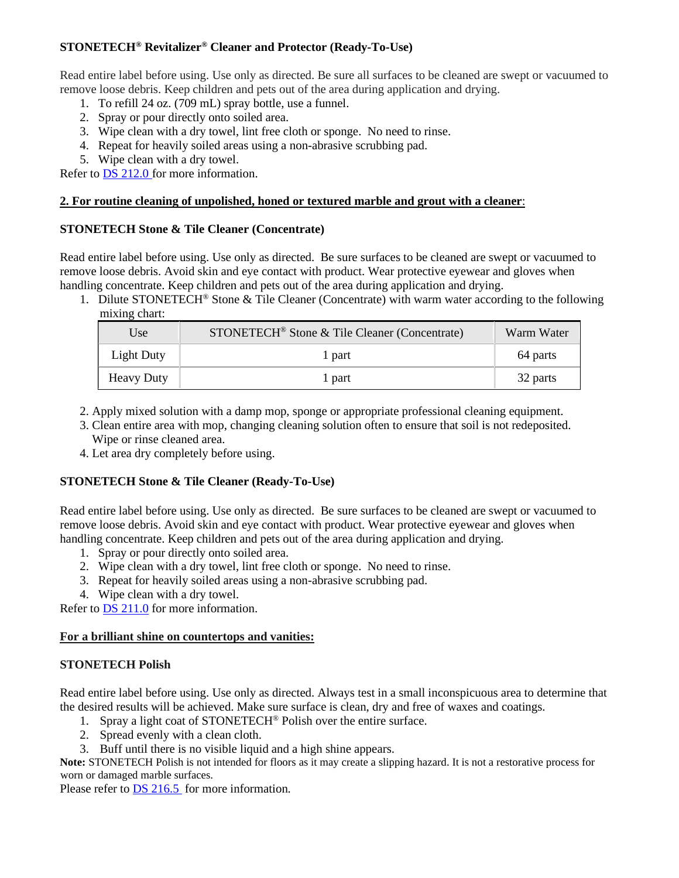# **STONETECH® Revitalizer® Cleaner and Protector (Ready-To-Use)**

Read entire label before using. Use only as directed. Be sure all surfaces to be cleaned are swept or vacuumed to remove loose debris. Keep children and pets out of the area during application and drying.

- 1. To refill 24 oz. (709 mL) spray bottle, use a funnel.
- 2. Spray or pour directly onto soiled area.
- 3. Wipe clean with a dry towel, lint free cloth or sponge. No need to rinse.
- 4. Repeat for heavily soiled areas using a non-abrasive scrubbing pad.
- 5. Wipe clean with a dry towel.

Refer to [DS 212.0](https://cdn.laticrete.com/~/media/product-documents/product-data-sheets/ds-212.ashx) for more information.

#### **2. For routine cleaning of unpolished, honed or textured marble and grout with a cleaner**:

#### **STONETECH Stone & Tile Cleaner (Concentrate)**

Read entire label before using. Use only as directed. Be sure surfaces to be cleaned are swept or vacuumed to remove loose debris. Avoid skin and eye contact with product. Wear protective eyewear and gloves when handling concentrate. Keep children and pets out of the area during application and drying.

1. Dilute STONETECH® Stone & Tile Cleaner (Concentrate) with warm water according to the following mixing chart:

| Use               | STONETECH <sup>®</sup> Stone & Tile Cleaner (Concentrate) | Warm Water |
|-------------------|-----------------------------------------------------------|------------|
| Light Duty        | 1 part                                                    | 64 parts   |
| <b>Heavy Duty</b> | 1 part                                                    | 32 parts   |

- 2. Apply mixed solution with a damp mop, sponge or appropriate professional cleaning equipment.
- 3. Clean entire area with mop, changing cleaning solution often to ensure that soil is not redeposited. Wipe or rinse cleaned area.
- 4. Let area dry completely before using.

# **STONETECH Stone & Tile Cleaner (Ready-To-Use)**

Read entire label before using. Use only as directed. Be sure surfaces to be cleaned are swept or vacuumed to remove loose debris. Avoid skin and eye contact with product. Wear protective eyewear and gloves when handling concentrate. Keep children and pets out of the area during application and drying.

- 1. Spray or pour directly onto soiled area.
- 2. Wipe clean with a dry towel, lint free cloth or sponge. No need to rinse.
- 3. Repeat for heavily soiled areas using a non-abrasive scrubbing pad.
- 4. Wipe clean with a dry towel.

Refer to **DS 211.0** for more information.

#### **For a brilliant shine on countertops and vanities:**

#### **STONETECH Polish**

Read entire label before using. Use only as directed. Always test in a small inconspicuous area to determine that the desired results will be achieved. Make sure surface is clean, dry and free of waxes and coatings.

- 1. Spray a light coat of STONETECH<sup>®</sup> Polish over the entire surface.
- 2. Spread evenly with a clean cloth.
- 3. Buff until there is no visible liquid and a high shine appears.

**Note:** STONETECH Polish is not intended for floors as it may create a slipping hazard. It is not a restorative process for worn or damaged marble surfaces.

Please refer to [DS 216.5](https://cdn.laticrete.com/~/media/product-documents/product-data-sheets/ds-2165.ashx) for more information.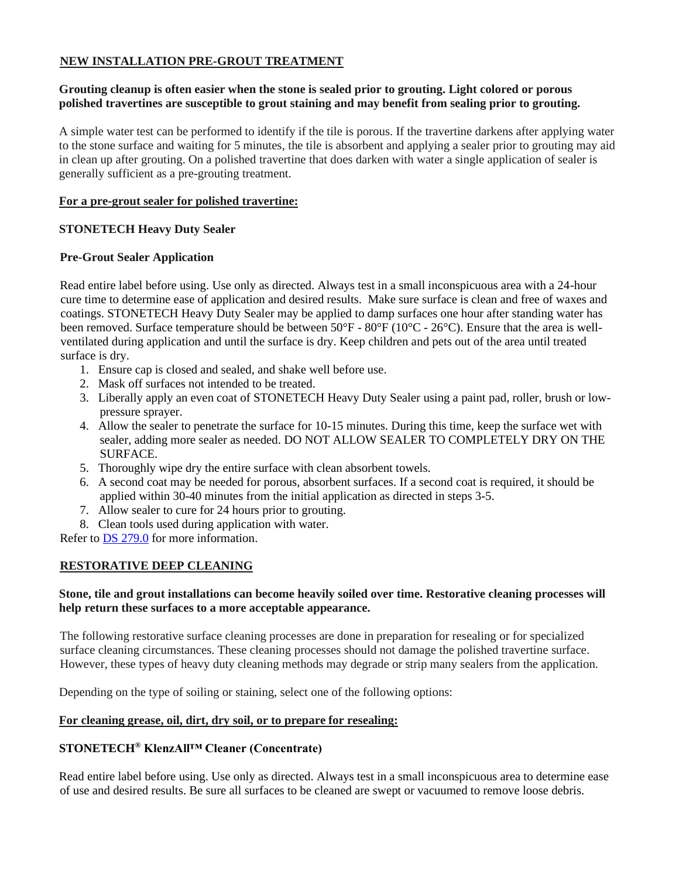# **NEW INSTALLATION PRE-GROUT TREATMENT**

# **Grouting cleanup is often easier when the stone is sealed prior to grouting. Light colored or porous polished travertines are susceptible to grout staining and may benefit from sealing prior to grouting.**

A simple water test can be performed to identify if the tile is porous. If the travertine darkens after applying water to the stone surface and waiting for 5 minutes, the tile is absorbent and applying a sealer prior to grouting may aid in clean up after grouting. On a polished travertine that does darken with water a single application of sealer is generally sufficient as a pre-grouting treatment.

#### **For a pre-grout sealer for polished travertine:**

# **STONETECH Heavy Duty Sealer**

# **Pre-Grout Sealer Application**

Read entire label before using. Use only as directed. Always test in a small inconspicuous area with a 24-hour cure time to determine ease of application and desired results. Make sure surface is clean and free of waxes and coatings. STONETECH Heavy Duty Sealer may be applied to damp surfaces one hour after standing water has been removed. Surface temperature should be between 50°F - 80°F (10°C - 26°C). Ensure that the area is wellventilated during application and until the surface is dry. Keep children and pets out of the area until treated surface is dry.

- 1. Ensure cap is closed and sealed, and shake well before use.
- 2. Mask off surfaces not intended to be treated.
- 3. Liberally apply an even coat of STONETECH Heavy Duty Sealer using a paint pad, roller, brush or lowpressure sprayer.
- 4. Allow the sealer to penetrate the surface for 10-15 minutes. During this time, keep the surface wet with sealer, adding more sealer as needed. DO NOT ALLOW SEALER TO COMPLETELY DRY ON THE SURFACE.
- 5. Thoroughly wipe dry the entire surface with clean absorbent towels.
- 6. A second coat may be needed for porous, absorbent surfaces. If a second coat is required, it should be applied within 30-40 minutes from the initial application as directed in steps 3-5.
- 7. Allow sealer to cure for 24 hours prior to grouting.
- 8. Clean tools used during application with water.

Refer to [DS 279.0](https://cdn.laticrete.com/~/media/product-documents/product-data-sheets/ds-279.ashx) for more information.

# **RESTORATIVE DEEP CLEANING**

# **Stone, tile and grout installations can become heavily soiled over time. Restorative cleaning processes will help return these surfaces to a more acceptable appearance.**

The following restorative surface cleaning processes are done in preparation for resealing or for specialized surface cleaning circumstances. These cleaning processes should not damage the polished travertine surface. However, these types of heavy duty cleaning methods may degrade or strip many sealers from the application.

Depending on the type of soiling or staining, select one of the following options:

#### **For cleaning grease, oil, dirt, dry soil, or to prepare for resealing:**

# **STONETECH® KlenzAll™ Cleaner (Concentrate)**

Read entire label before using. Use only as directed. Always test in a small inconspicuous area to determine ease of use and desired results. Be sure all surfaces to be cleaned are swept or vacuumed to remove loose debris.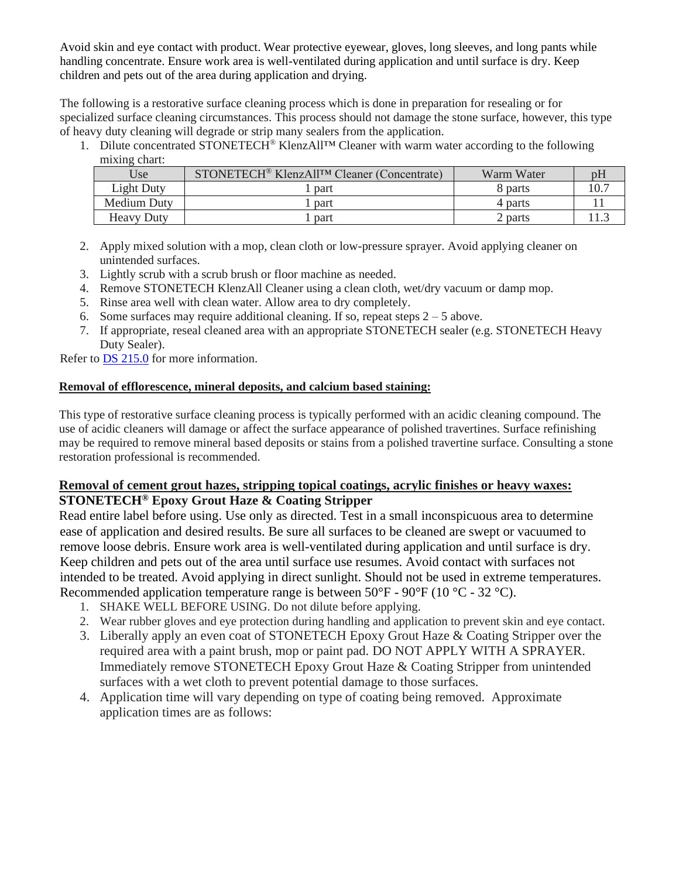Avoid skin and eye contact with product. Wear protective eyewear, gloves, long sleeves, and long pants while handling concentrate. Ensure work area is well-ventilated during application and until surface is dry. Keep children and pets out of the area during application and drying.

The following is a restorative surface cleaning process which is done in preparation for resealing or for specialized surface cleaning circumstances. This process should not damage the stone surface, however, this type of heavy duty cleaning will degrade or strip many sealers from the application.

1. Dilute concentrated STONETECH® KlenzAll™ Cleaner with warm water according to the following mixing chart:

| Use               | STONETECH <sup>®</sup> KlenzAll <sup>TM</sup> Cleaner (Concentrate) | Warm Water | υh |
|-------------------|---------------------------------------------------------------------|------------|----|
| Light Duty        | part                                                                | 8 parts    |    |
| Medium Duty       | part                                                                | 4 parts    |    |
| <b>Heavy Duty</b> | part                                                                | 2 parts    |    |

- 2. Apply mixed solution with a mop, clean cloth or low-pressure sprayer. Avoid applying cleaner on unintended surfaces.
- 3. Lightly scrub with a scrub brush or floor machine as needed.
- 4. Remove STONETECH KlenzAll Cleaner using a clean cloth, wet/dry vacuum or damp mop.
- 5. Rinse area well with clean water. Allow area to dry completely.
- 6. Some surfaces may require additional cleaning. If so, repeat steps  $2 5$  above.
- 7. If appropriate, reseal cleaned area with an appropriate STONETECH sealer (e.g. STONETECH Heavy Duty Sealer).

Refer to **DS 215.0** for more information.

# **Removal of efflorescence, mineral deposits, and calcium based staining:**

This type of restorative surface cleaning process is typically performed with an acidic cleaning compound. The use of acidic cleaners will damage or affect the surface appearance of polished travertines. Surface refinishing may be required to remove mineral based deposits or stains from a polished travertine surface. Consulting a stone restoration professional is recommended.

# **Removal of cement grout hazes, stripping topical coatings, acrylic finishes or heavy waxes: STONETECH® Epoxy Grout Haze & Coating Stripper**

Read entire label before using. Use only as directed. Test in a small inconspicuous area to determine ease of application and desired results. Be sure all surfaces to be cleaned are swept or vacuumed to remove loose debris. Ensure work area is well-ventilated during application and until surface is dry. Keep children and pets out of the area until surface use resumes. Avoid contact with surfaces not intended to be treated. Avoid applying in direct sunlight. Should not be used in extreme temperatures. Recommended application temperature range is between  $50^{\circ}$ F -  $90^{\circ}$ F (10  $^{\circ}$ C - 32  $^{\circ}$ C).

- 1. SHAKE WELL BEFORE USING. Do not dilute before applying.
- 2. Wear rubber gloves and eye protection during handling and application to prevent skin and eye contact.
- 3. Liberally apply an even coat of STONETECH Epoxy Grout Haze & Coating Stripper over the required area with a paint brush, mop or paint pad. DO NOT APPLY WITH A SPRAYER. Immediately remove STONETECH Epoxy Grout Haze & Coating Stripper from unintended surfaces with a wet cloth to prevent potential damage to those surfaces.
- 4. Application time will vary depending on type of coating being removed. Approximate application times are as follows: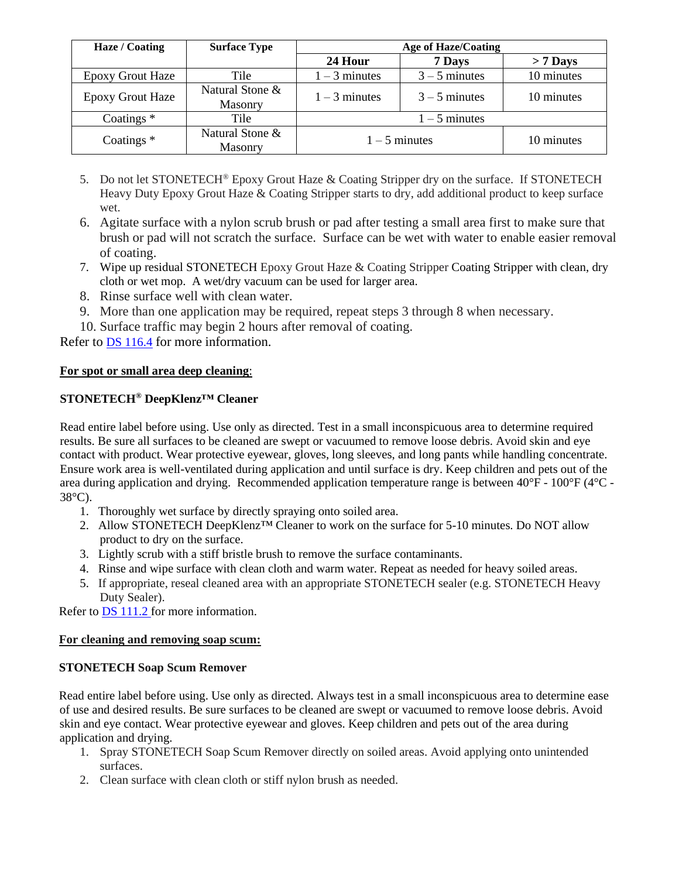| Haze / Coating          | <b>Surface Type</b>               | <b>Age of Haze/Coating</b> |                 |            |
|-------------------------|-----------------------------------|----------------------------|-----------------|------------|
|                         |                                   | 24 Hour                    | 7 Days          | $> 7$ Days |
| <b>Epoxy Grout Haze</b> | Tile                              | $1 - 3$ minutes            | $3 - 5$ minutes | 10 minutes |
| <b>Epoxy Grout Haze</b> | Natural Stone &<br><b>Masonry</b> | $1 - 3$ minutes            | $3 - 5$ minutes | 10 minutes |
| Coatings $*$            | Tile                              | $1 - 5$ minutes            |                 |            |
| Coatings <sup>*</sup>   | Natural Stone &<br><b>Masonry</b> | $1 - 5$ minutes            |                 | 10 minutes |

- 5. Do not let STONETECH<sup>®</sup> Epoxy Grout Haze & Coating Stripper dry on the surface. If STONETECH Heavy Duty Epoxy Grout Haze & Coating Stripper starts to dry, add additional product to keep surface wet.
- 6. Agitate surface with a nylon scrub brush or pad after testing a small area first to make sure that brush or pad will not scratch the surface. Surface can be wet with water to enable easier removal of coating.
- 7. Wipe up residual STONETECH Epoxy Grout Haze & Coating Stripper Coating Stripper with clean, dry cloth or wet mop. A wet/dry vacuum can be used for larger area.
- 8. Rinse surface well with clean water.
- 9. More than one application may be required, repeat steps 3 through 8 when necessary.
- 10. Surface traffic may begin 2 hours after removal of coating.

Refer to [DS 116.4](https://cdn.laticrete.com/~/media/product-documents/product-data-sheets/ds1664_stonetech-epoxy-grout-haze-coating-stripper.ashx) for more information.

# **For spot or small area deep cleaning**:

# **STONETECH® DeepKlenz™ Cleaner**

Read entire label before using. Use only as directed. Test in a small inconspicuous area to determine required results. Be sure all surfaces to be cleaned are swept or vacuumed to remove loose debris. Avoid skin and eye contact with product. Wear protective eyewear, gloves, long sleeves, and long pants while handling concentrate. Ensure work area is well-ventilated during application and until surface is dry. Keep children and pets out of the area during application and drying. Recommended application temperature range is between 40°F - 100°F (4°C - 38°C).

- 1. Thoroughly wet surface by directly spraying onto soiled area.
- 2. Allow STONETECH DeepKlenz™ Cleaner to work on the surface for 5-10 minutes. Do NOT allow product to dry on the surface.
- 3. Lightly scrub with a stiff bristle brush to remove the surface contaminants.
- 4. Rinse and wipe surface with clean cloth and warm water. Repeat as needed for heavy soiled areas.
- 5. If appropriate, reseal cleaned area with an appropriate STONETECH sealer (e.g. STONETECH Heavy Duty Sealer).

Refer to [DS 111.2](https://cdn.laticrete.com/~/media/product-documents/product-data-sheets/ds-1112.ashx) for more information.

#### **For cleaning and removing soap scum:**

# **STONETECH Soap Scum Remover**

Read entire label before using. Use only as directed. Always test in a small inconspicuous area to determine ease of use and desired results. Be sure surfaces to be cleaned are swept or vacuumed to remove loose debris. Avoid skin and eye contact. Wear protective eyewear and gloves. Keep children and pets out of the area during application and drying.

- 1. Spray STONETECH Soap Scum Remover directly on soiled areas. Avoid applying onto unintended surfaces.
- 2. Clean surface with clean cloth or stiff nylon brush as needed.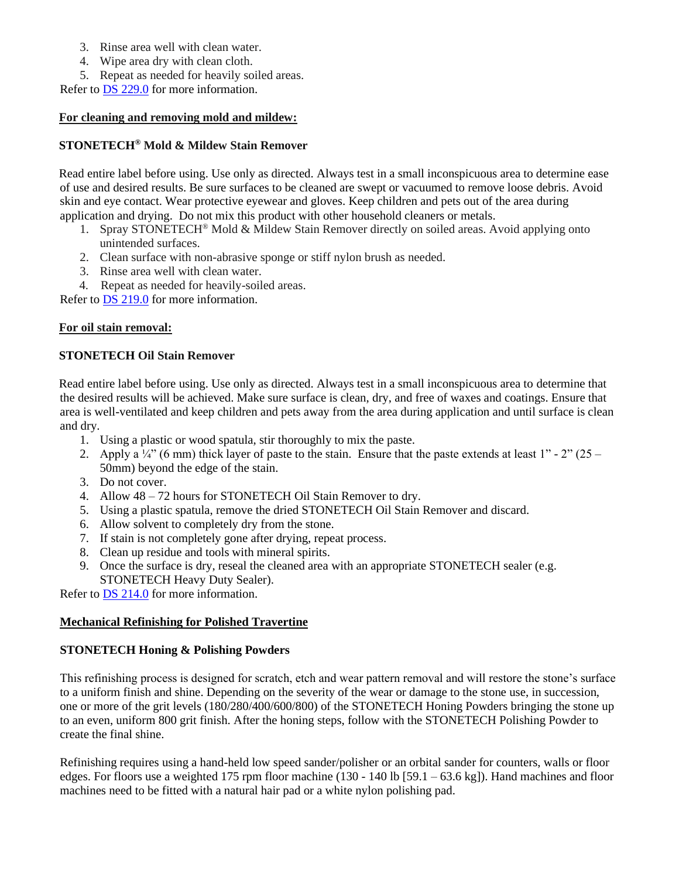- 3. Rinse area well with clean water.
- 4. Wipe area dry with clean cloth.
- 5. Repeat as needed for heavily soiled areas.

Refer to [DS 229.0](https://cdn.laticrete.com/~/media/product-documents/product-data-sheets/ds-229.ashx) for more information.

# **For cleaning and removing mold and mildew:**

# **STONETECH® Mold & Mildew Stain Remover**

Read entire label before using. Use only as directed. Always test in a small inconspicuous area to determine ease of use and desired results. Be sure surfaces to be cleaned are swept or vacuumed to remove loose debris. Avoid skin and eye contact. Wear protective eyewear and gloves. Keep children and pets out of the area during application and drying. Do not mix this product with other household cleaners or metals.

- 1. Spray STONETECH® Mold & Mildew Stain Remover directly on soiled areas. Avoid applying onto unintended surfaces.
- 2. Clean surface with non-abrasive sponge or stiff nylon brush as needed.
- 3. Rinse area well with clean water.
- 4. Repeat as needed for heavily-soiled areas.

Refer to [DS 219.0](https://cdn.laticrete.com/~/media/product-documents/product-data-sheets/ds-219.ashx) for more information.

#### **For oil stain removal:**

# **STONETECH Oil Stain Remover**

Read entire label before using. Use only as directed. Always test in a small inconspicuous area to determine that the desired results will be achieved. Make sure surface is clean, dry, and free of waxes and coatings. Ensure that area is well-ventilated and keep children and pets away from the area during application and until surface is clean and dry.

- 1. Using a plastic or wood spatula, stir thoroughly to mix the paste.
- 2. Apply a  $\frac{1}{4}$  (6 mm) thick layer of paste to the stain. Ensure that the paste extends at least 1" 2" (25 50mm) beyond the edge of the stain.
- 3. Do not cover.
- 4. Allow 48 72 hours for STONETECH Oil Stain Remover to dry.
- 5. Using a plastic spatula, remove the dried STONETECH Oil Stain Remover and discard.
- 6. Allow solvent to completely dry from the stone.
- 7. If stain is not completely gone after drying, repeat process.
- 8. Clean up residue and tools with mineral spirits.
- 9. Once the surface is dry, reseal the cleaned area with an appropriate STONETECH sealer (e.g. STONETECH Heavy Duty Sealer).

Refer to [DS 214.0](https://cdn.laticrete.com/~/media/product-documents/product-data-sheets/ds-214.ashx) for more information.

#### **Mechanical Refinishing for Polished Travertine**

# **STONETECH Honing & Polishing Powders**

This refinishing process is designed for scratch, etch and wear pattern removal and will restore the stone's surface to a uniform finish and shine. Depending on the severity of the wear or damage to the stone use, in succession, one or more of the grit levels (180/280/400/600/800) of the STONETECH Honing Powders bringing the stone up to an even, uniform 800 grit finish. After the honing steps, follow with the STONETECH Polishing Powder to create the final shine.

Refinishing requires using a hand-held low speed sander/polisher or an orbital sander for counters, walls or floor edges. For floors use a weighted 175 rpm floor machine (130 - 140 lb [59.1 – 63.6 kg]). Hand machines and floor machines need to be fitted with a natural hair pad or a white nylon polishing pad.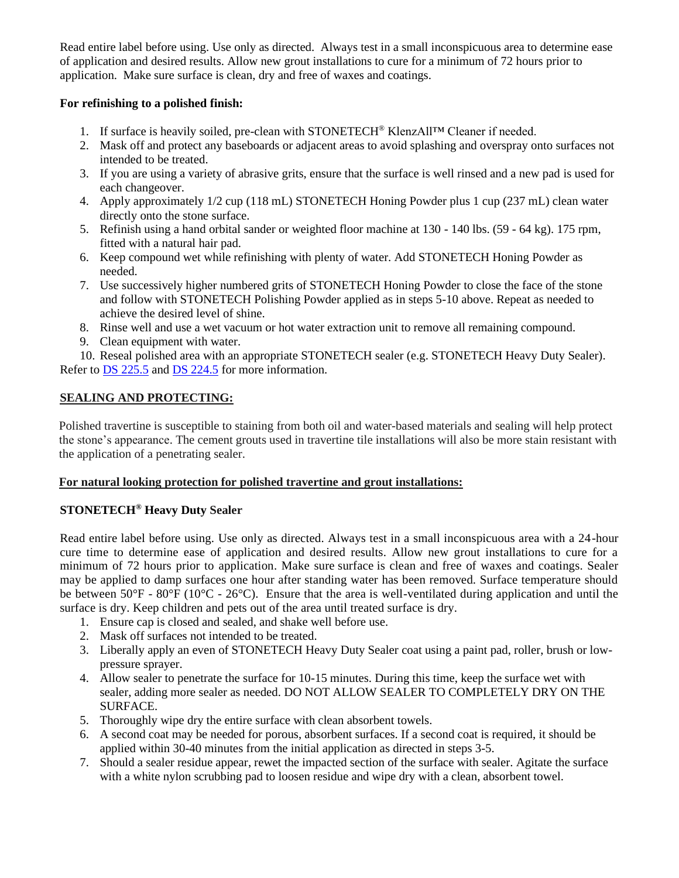Read entire label before using. Use only as directed. Always test in a small inconspicuous area to determine ease of application and desired results. Allow new grout installations to cure for a minimum of 72 hours prior to application. Make sure surface is clean, dry and free of waxes and coatings.

# **For refinishing to a polished finish:**

- 1. If surface is heavily soiled, pre-clean with STONETECH® KlenzAll™ Cleaner if needed.
- 2. Mask off and protect any baseboards or adjacent areas to avoid splashing and overspray onto surfaces not intended to be treated.
- 3. If you are using a variety of abrasive grits, ensure that the surface is well rinsed and a new pad is used for each changeover.
- 4. Apply approximately 1/2 cup (118 mL) STONETECH Honing Powder plus 1 cup (237 mL) clean water directly onto the stone surface.
- 5. Refinish using a hand orbital sander or weighted floor machine at 130 140 lbs. (59 64 kg). 175 rpm, fitted with a natural hair pad.
- 6. Keep compound wet while refinishing with plenty of water. Add STONETECH Honing Powder as needed.
- 7. Use successively higher numbered grits of STONETECH Honing Powder to close the face of the stone and follow with STONETECH Polishing Powder applied as in steps 5-10 above. Repeat as needed to achieve the desired level of shine.
- 8. Rinse well and use a wet vacuum or hot water extraction unit to remove all remaining compound.
- 9. Clean equipment with water.

10. Reseal polished area with an appropriate STONETECH sealer (e.g. STONETECH Heavy Duty Sealer). Refer to [DS 225.5](https://cdn.laticrete.com/~/media/product-documents/product-data-sheets/ds-2255.ashx) and [DS 224.5](https://cdn.laticrete.com/~/media/product-documents/product-data-sheets/ds-2245.ashx) for more information.

# **SEALING AND PROTECTING:**

Polished travertine is susceptible to staining from both oil and water-based materials and sealing will help protect the stone's appearance. The cement grouts used in travertine tile installations will also be more stain resistant with the application of a penetrating sealer.

#### **For natural looking protection for polished travertine and grout installations:**

# **STONETECH® Heavy Duty Sealer**

Read entire label before using. Use only as directed. Always test in a small inconspicuous area with a 24-hour cure time to determine ease of application and desired results. Allow new grout installations to cure for a minimum of 72 hours prior to application. Make sure surface is clean and free of waxes and coatings. Sealer may be applied to damp surfaces one hour after standing water has been removed. Surface temperature should be between  $50^{\circ}F - 80^{\circ}F (10^{\circ}C - 26^{\circ}C)$ . Ensure that the area is well-ventilated during application and until the surface is dry. Keep children and pets out of the area until treated surface is dry.

- 1. Ensure cap is closed and sealed, and shake well before use.
- 2. Mask off surfaces not intended to be treated.
- 3. Liberally apply an even of STONETECH Heavy Duty Sealer coat using a paint pad, roller, brush or lowpressure sprayer.
- 4. Allow sealer to penetrate the surface for 10-15 minutes. During this time, keep the surface wet with sealer, adding more sealer as needed. DO NOT ALLOW SEALER TO COMPLETELY DRY ON THE SURFACE.
- 5. Thoroughly wipe dry the entire surface with clean absorbent towels.
- 6. A second coat may be needed for porous, absorbent surfaces. If a second coat is required, it should be applied within 30-40 minutes from the initial application as directed in steps 3-5.
- 7. Should a sealer residue appear, rewet the impacted section of the surface with sealer. Agitate the surface with a white nylon scrubbing pad to loosen residue and wipe dry with a clean, absorbent towel.